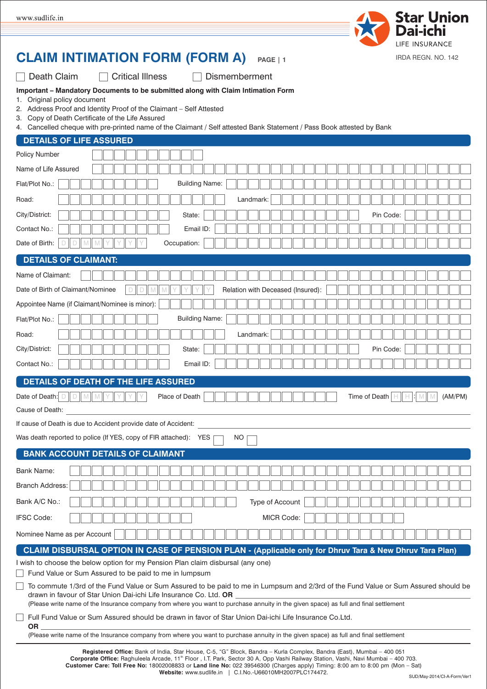

## **CLAIM INTIMATION FORM (FORM A) PAGE | 1**

Death Claim

□ Critical Illness □ Dismemberment

|  | Important - Mandatory Documents to be submitted along with Claim Intimation Form |  |  |  |
|--|----------------------------------------------------------------------------------|--|--|--|
|  |                                                                                  |  |  |  |

- 1. Original policy document
- 2. Address Proof and Identity Proof of the Claimant Self Attested
- 3. Copy of Death Certificate of the Life Assured
- 4. Cancelled cheque with pre-printed name of the Claimant / Self attested Bank Statement / Pass Book attested by Bank

| <b>DETAILS OF LIFE ASSURED</b>                                                                                                                                                                                                                             |
|------------------------------------------------------------------------------------------------------------------------------------------------------------------------------------------------------------------------------------------------------------|
| Policy Number                                                                                                                                                                                                                                              |
| Name of Life Assured                                                                                                                                                                                                                                       |
| <b>Building Name:</b><br>Flat/Plot No.:                                                                                                                                                                                                                    |
| Road:<br>Landmark:                                                                                                                                                                                                                                         |
| City/District:<br>Pin Code:<br>State:                                                                                                                                                                                                                      |
| Contact No.:<br>Email ID:                                                                                                                                                                                                                                  |
| Date of Birth:<br>Occupation:<br>D<br>M                                                                                                                                                                                                                    |
| <b>DETAILS OF CLAIMANT:</b>                                                                                                                                                                                                                                |
| Name of Claimant:                                                                                                                                                                                                                                          |
| Relation with Deceased (Insured):<br>Date of Birth of Claimant/Nominee<br>D                                                                                                                                                                                |
| Appointee Name (if Claimant/Nominee is minor):                                                                                                                                                                                                             |
| <b>Building Name:</b><br>Flat/Plot No.:                                                                                                                                                                                                                    |
| Landmark:<br>Road:                                                                                                                                                                                                                                         |
| City/District:<br>Pin Code:<br>State:                                                                                                                                                                                                                      |
| Contact No.:<br>Email ID:                                                                                                                                                                                                                                  |
| DETAILS OF DEATH OF THE LIFE ASSURED                                                                                                                                                                                                                       |
| (AM/PM)<br>Date of Death: D<br>Place of Death<br>Time of Death<br>D<br>$\mathbb{M}$ M<br>н<br>H<br>31 M                                                                                                                                                    |
| Cause of Death:                                                                                                                                                                                                                                            |
| If cause of Death is due to Accident provide date of Accident:                                                                                                                                                                                             |
| Was death reported to police (If YES, copy of FIR attached): YES<br>NO                                                                                                                                                                                     |
| <b>BANK ACCOUNT DETAILS OF CLAIMANT</b>                                                                                                                                                                                                                    |
| <b>Bank Name:</b>                                                                                                                                                                                                                                          |
| <b>Branch Address:</b>                                                                                                                                                                                                                                     |
| Bank A/C No.:<br>Type of Account                                                                                                                                                                                                                           |
| <b>IFSC Code:</b><br><b>MICR Code:</b>                                                                                                                                                                                                                     |
| Nominee Name as per Account                                                                                                                                                                                                                                |
| CLAIM DISBURSAL OPTION IN CASE OF PENSION PLAN - (Applicable only for Dhruv Tara & New Dhruv Tara Plan)                                                                                                                                                    |
| I wish to choose the below option for my Pension Plan claim disbursal (any one)                                                                                                                                                                            |
| Fund Value or Sum Assured to be paid to me in lumpsum                                                                                                                                                                                                      |
| To commute 1/3rd of the Fund Value or Sum Assured to be paid to me in Lumpsum and 2/3rd of the Fund Value or Sum Assured should be<br>drawn in favour of Star Union Dai-ichi Life Insurance Co. Ltd. OR                                                    |
| (Please write name of the Insurance company from where you want to purchase annuity in the given space) as full and final settlement                                                                                                                       |
| Full Fund Value or Sum Assured should be drawn in favor of Star Union Dai-ichi Life Insurance Co.Ltd.<br><b>OR</b><br>(Please write name of the Insurance company from where you want to purchase annuity in the given space) as full and final settlement |
| Registered Office: Bank of India, Star House, C-5, "G" Block, Bandra - Kurla Complex, Bandra (East), Mumbai - 400 051                                                                                                                                      |
| Corporate Office: Raghuleela Arcade, 11 <sup>th</sup> Floor, I.T. Park, Sector 30 A, Opp Vashi Railway Station, Vashi, Navi Mumbai - 400 703.                                                                                                              |

**Customer Care: Toll Free No:** 18002008833 or **Land line No:** 022 39546300 (Charges apply) Timing: 8:00 am to 8:00 pm (Mon – Sat)

**Website:** www.sudlife.in | C.I.No.-U66010MH2007PLC174472.